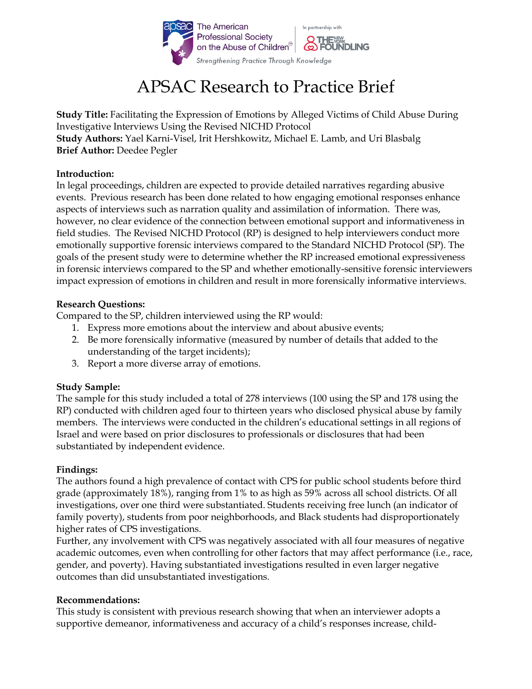

# APSAC Research to Practice Brief

**Study Title:** Facilitating the Expression of Emotions by Alleged Victims of Child Abuse During Investigative Interviews Using the Revised NICHD Protocol **Study Authors:** Yael Karni-Visel, Irit Hershkowitz, Michael E. Lamb, and Uri Blasbalg **Brief Author:** Deedee Pegler

## **Introduction:**

In legal proceedings, children are expected to provide detailed narratives regarding abusive events. Previous research has been done related to how engaging emotional responses enhance aspects of interviews such as narration quality and assimilation of information. There was, however, no clear evidence of the connection between emotional support and informativeness in field studies. The Revised NICHD Protocol (RP) is designed to help interviewers conduct more emotionally supportive forensic interviews compared to the Standard NICHD Protocol (SP). The goals of the present study were to determine whether the RP increased emotional expressiveness in forensic interviews compared to the SP and whether emotionally-sensitive forensic interviewers impact expression of emotions in children and result in more forensically informative interviews.

#### **Research Questions:**

Compared to the SP, children interviewed using the RP would:

- 1. Express more emotions about the interview and about abusive events;
- 2. Be more forensically informative (measured by number of details that added to the understanding of the target incidents);
- 3. Report a more diverse array of emotions.

## **Study Sample:**

The sample for this study included a total of 278 interviews (100 using the SP and 178 using the RP) conducted with children aged four to thirteen years who disclosed physical abuse by family members. The interviews were conducted in the children's educational settings in all regions of Israel and were based on prior disclosures to professionals or disclosures that had been substantiated by independent evidence.

## **Findings:**

The authors found a high prevalence of contact with CPS for public school students before third grade (approximately 18%), ranging from 1% to as high as 59% across all school districts. Of all investigations, over one third were substantiated. Students receiving free lunch (an indicator of family poverty), students from poor neighborhoods, and Black students had disproportionately higher rates of CPS investigations.

Further, any involvement with CPS was negatively associated with all four measures of negative academic outcomes, even when controlling for other factors that may affect performance (i.e., race, gender, and poverty). Having substantiated investigations resulted in even larger negative outcomes than did unsubstantiated investigations.

## **Recommendations:**

This study is consistent with previous research showing that when an interviewer adopts a supportive demeanor, informativeness and accuracy of a child's responses increase, child